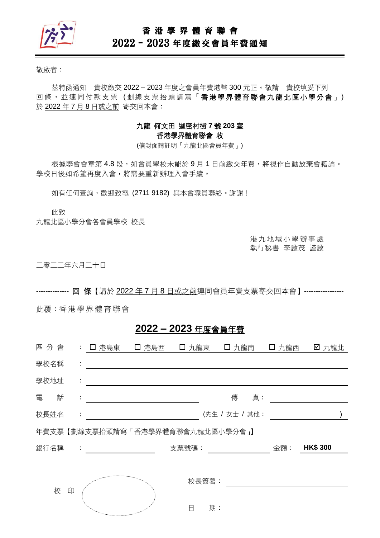

## 香 港 學 界 體 育 聯 會

# 2022–2023 年度繳交會員年費通知

敬啟者:

茲特函通知 貴校繳交 2022 – 2023 年度之會員年費港幣 300 元正。敬請 貴校填妥下列 回條, 並連同付款支票(劃線支票抬頭請寫「香港學界體育聯會九龍北區小學分會」) 於 2022 年 7 月 8 日或之前 寄交回本會:

### 九龍 何文田 迦密村街 **7** 號 **203** 室 香港學界體育聯會 收

(信封面請註明「九龍北區會員年費」)

根據聯會會章第 4.8 段,如會員學校未能於9月1日前繳交年費,將視作自動放棄會籍論。 學校日後如希望再度入會,將需要重新辦理入會手續。

如有任何查詢,歡迎致電 (2711 9182)與本會職員聯絡。謝謝!

此致

九龍北區小學分會各會員學校 校長

港 九 地 域 小 學 辦 事 處 執行秘書 李啟茂 謹啟

二零二二年六月二十日

-------------- 回 條【請於 2022 年 7 月 8 日或之前連同會員年費支票寄交回本會】-----------------

此覆:香港 學 界體 育 聯會

## **2022 – 2023** 年度會員年費

| 區分會  |   |    | : 口 港島東 [ ] 港島西                                       |       |       | □ 九龍東 □ 九龍南 □  | 口 九龍西 | ☑ 九龍北           |  |
|------|---|----|-------------------------------------------------------|-------|-------|----------------|-------|-----------------|--|
| 學校名稱 |   | ÷  |                                                       |       |       |                |       |                 |  |
| 學校地址 |   | ÷  |                                                       |       |       |                |       |                 |  |
| 電    | 話 | ÷  |                                                       |       |       | 傳<br>真:        |       |                 |  |
| 校長姓名 |   | ÷. |                                                       |       |       | (先生 / 女士 / 其他: |       |                 |  |
|      |   |    | 年費支票【劃線支票抬頭請寫「香港學界體育聯會九龍北區小學分會」】                      |       |       |                |       |                 |  |
| 銀行名稱 |   |    | $\mathcal{L}_{\rm{max}}$ and $\mathcal{L}_{\rm{max}}$ | 支票號碼: |       |                | 金額:   | <b>HK\$ 300</b> |  |
|      |   |    |                                                       |       |       |                |       |                 |  |
|      |   |    |                                                       |       | 校長簽署: |                |       |                 |  |
|      | 校 | 印  |                                                       |       |       |                |       |                 |  |
|      |   |    | <sup>ng</sup> a <sub>ng mananganan</sub>              | 日     | 期:    |                |       |                 |  |